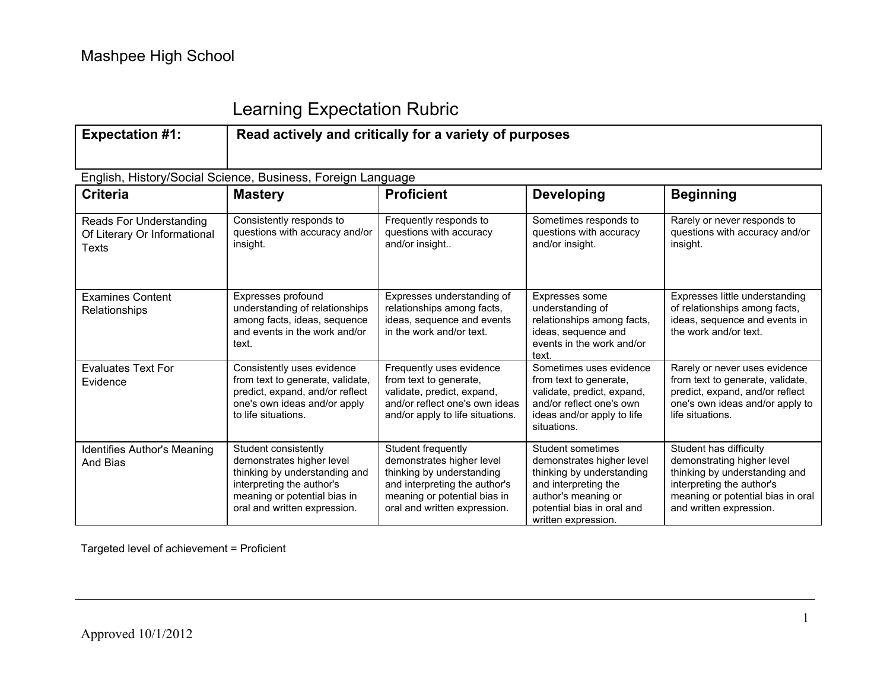## Learning Expectation Rubric

| <b>Expectation #1:</b>                                                         | Read actively and critically for a variety of purposes                                                                                                                          |                                                                                                                                                                               |                                                                                                                                                                                 |                                                                                                                                                                                    |  |  |
|--------------------------------------------------------------------------------|---------------------------------------------------------------------------------------------------------------------------------------------------------------------------------|-------------------------------------------------------------------------------------------------------------------------------------------------------------------------------|---------------------------------------------------------------------------------------------------------------------------------------------------------------------------------|------------------------------------------------------------------------------------------------------------------------------------------------------------------------------------|--|--|
|                                                                                | English, History/Social Science, Business, Foreign Language                                                                                                                     |                                                                                                                                                                               |                                                                                                                                                                                 |                                                                                                                                                                                    |  |  |
| <b>Criteria</b>                                                                | <b>Mastery</b>                                                                                                                                                                  | <b>Proficient</b>                                                                                                                                                             | <b>Developing</b>                                                                                                                                                               | <b>Beginning</b>                                                                                                                                                                   |  |  |
| <b>Reads For Understanding</b><br>Of Literary Or Informational<br><b>Texts</b> | Consistently responds to<br>questions with accuracy and/or<br>insight.                                                                                                          | Frequently responds to<br>questions with accuracy<br>and/or insight                                                                                                           | Sometimes responds to<br>questions with accuracy<br>and/or insight.                                                                                                             | Rarely or never responds to<br>questions with accuracy and/or<br>insight.                                                                                                          |  |  |
| <b>Examines Content</b><br>Relationships                                       | Expresses profound<br>understanding of relationships<br>among facts, ideas, sequence<br>and events in the work and/or<br>text.                                                  | Expresses understanding of<br>relationships among facts,<br>ideas, sequence and events<br>in the work and/or text.                                                            | Expresses some<br>understanding of<br>relationships among facts,<br>ideas, sequence and<br>events in the work and/or<br>text.                                                   | Expresses little understanding<br>of relationships among facts,<br>ideas, sequence and events in<br>the work and/or text.                                                          |  |  |
| <b>Evaluates Text For</b><br>Evidence                                          | Consistently uses evidence<br>from text to generate, validate,<br>predict, expand, and/or reflect<br>one's own ideas and/or apply<br>to life situations.                        | Frequently uses evidence<br>from text to generate,<br>validate, predict, expand,<br>and/or reflect one's own ideas<br>and/or apply to life situations.                        | Sometimes uses evidence<br>from text to generate,<br>validate, predict, expand,<br>and/or reflect one's own<br>ideas and/or apply to life<br>situations.                        | Rarely or never uses evidence<br>from text to generate, validate,<br>predict, expand, and/or reflect<br>one's own ideas and/or apply to<br>life situations.                        |  |  |
| <b>Identifies Author's Meaning</b><br>And Bias                                 | Student consistently<br>demonstrates higher level<br>thinking by understanding and<br>interpreting the author's<br>meaning or potential bias in<br>oral and written expression. | Student frequently<br>demonstrates higher level<br>thinking by understanding<br>and interpreting the author's<br>meaning or potential bias in<br>oral and written expression. | Student sometimes<br>demonstrates higher level<br>thinking by understanding<br>and interpreting the<br>author's meaning or<br>potential bias in oral and<br>written expression. | Student has difficulty<br>demonstrating higher level<br>thinking by understanding and<br>interpreting the author's<br>meaning or potential bias in oral<br>and written expression. |  |  |

Targeted level of achievement = Proficient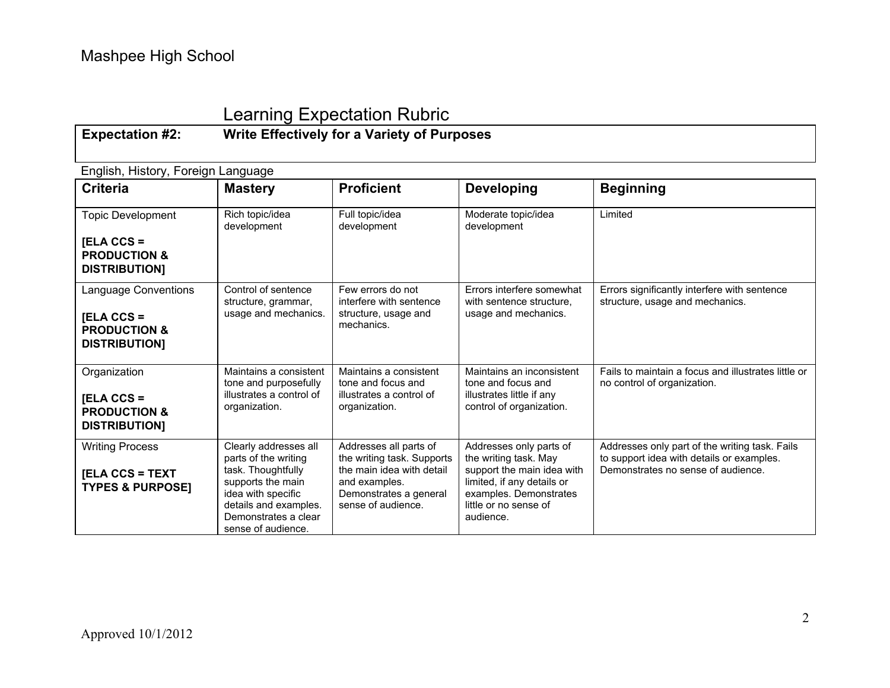## Learning Expectation Rubric

### **Expectation #2: Write Effectively for a Variety of Purposes**

English, History, Foreign Language

| <b>Criteria</b>                                                                             | <b>Mastery</b>                                                                                                                                                                        | <b>Proficient</b>                                                                                                                                  | <b>Developing</b>                                                                                                                                                            | <b>Beginning</b>                                                                                                                  |
|---------------------------------------------------------------------------------------------|---------------------------------------------------------------------------------------------------------------------------------------------------------------------------------------|----------------------------------------------------------------------------------------------------------------------------------------------------|------------------------------------------------------------------------------------------------------------------------------------------------------------------------------|-----------------------------------------------------------------------------------------------------------------------------------|
| <b>Topic Development</b><br>$[ELA CCS =$<br><b>PRODUCTION &amp;</b><br><b>DISTRIBUTION]</b> | Rich topic/idea<br>development                                                                                                                                                        | Full topic/idea<br>development                                                                                                                     | Moderate topic/idea<br>development                                                                                                                                           | Limited                                                                                                                           |
| Language Conventions<br>$[ELA CCS =$<br><b>PRODUCTION &amp;</b><br><b>DISTRIBUTION]</b>     | Control of sentence<br>structure, grammar,<br>usage and mechanics.                                                                                                                    | Few errors do not<br>interfere with sentence<br>structure, usage and<br>mechanics.                                                                 | Errors interfere somewhat<br>with sentence structure.<br>usage and mechanics.                                                                                                | Errors significantly interfere with sentence<br>structure, usage and mechanics.                                                   |
| Organization<br>$[ELA CCS =$<br><b>PRODUCTION &amp;</b><br><b>DISTRIBUTION]</b>             | Maintains a consistent<br>tone and purposefully<br>illustrates a control of<br>organization.                                                                                          | Maintains a consistent<br>tone and focus and<br>illustrates a control of<br>organization.                                                          | Maintains an inconsistent<br>tone and focus and<br>illustrates little if any<br>control of organization.                                                                     | Fails to maintain a focus and illustrates little or<br>no control of organization.                                                |
| <b>Writing Process</b><br><b>[ELA CCS = TEXT</b><br><b>TYPES &amp; PURPOSE]</b>             | Clearly addresses all<br>parts of the writing<br>task. Thoughtfully<br>supports the main<br>idea with specific<br>details and examples.<br>Demonstrates a clear<br>sense of audience. | Addresses all parts of<br>the writing task. Supports<br>the main idea with detail<br>and examples.<br>Demonstrates a general<br>sense of audience. | Addresses only parts of<br>the writing task. May<br>support the main idea with<br>limited, if any details or<br>examples. Demonstrates<br>little or no sense of<br>audience. | Addresses only part of the writing task. Fails<br>to support idea with details or examples.<br>Demonstrates no sense of audience. |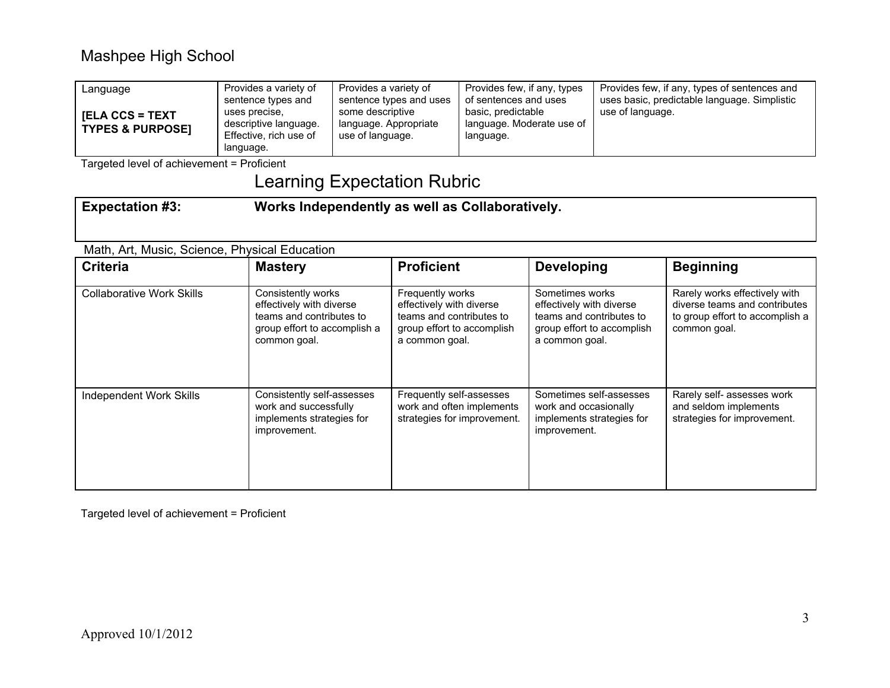| Language<br><b>IELA CCS = TEXT</b><br><b>TYPES &amp; PURPOSET</b> | Provides a variety of<br>sentence types and<br>uses precise.<br>descriptive language.<br>Effective, rich use of | Provides a variety of<br>sentence types and uses<br>some descriptive<br>language. Appropriate<br>use of language. | Provides few, if any, types<br>of sentences and uses<br>basic, predictable<br>language. Moderate use of<br>language. | Provides few, if any, types of sentences and<br>uses basic, predictable language. Simplistic<br>use of language. |
|-------------------------------------------------------------------|-----------------------------------------------------------------------------------------------------------------|-------------------------------------------------------------------------------------------------------------------|----------------------------------------------------------------------------------------------------------------------|------------------------------------------------------------------------------------------------------------------|
|                                                                   | language.                                                                                                       |                                                                                                                   |                                                                                                                      |                                                                                                                  |

Targeted level of achievement = Proficient

# Learning Expectation Rubric

| <b>Expectation #3:</b>                        | Works Independently as well as Collaboratively.                                                                            |                                                                                                                          |                                                                                                                         |                                                                                                                   |  |  |
|-----------------------------------------------|----------------------------------------------------------------------------------------------------------------------------|--------------------------------------------------------------------------------------------------------------------------|-------------------------------------------------------------------------------------------------------------------------|-------------------------------------------------------------------------------------------------------------------|--|--|
| Math, Art, Music, Science, Physical Education |                                                                                                                            |                                                                                                                          |                                                                                                                         |                                                                                                                   |  |  |
| <b>Criteria</b>                               | <b>Mastery</b>                                                                                                             | <b>Proficient</b>                                                                                                        | <b>Developing</b>                                                                                                       | <b>Beginning</b>                                                                                                  |  |  |
| <b>Collaborative Work Skills</b>              | Consistently works<br>effectively with diverse<br>teams and contributes to<br>group effort to accomplish a<br>common goal. | Frequently works<br>effectively with diverse<br>teams and contributes to<br>group effort to accomplish<br>a common goal. | Sometimes works<br>effectively with diverse<br>teams and contributes to<br>group effort to accomplish<br>a common goal. | Rarely works effectively with<br>diverse teams and contributes<br>to group effort to accomplish a<br>common goal. |  |  |
| <b>Independent Work Skills</b>                | Consistently self-assesses<br>work and successfully<br>implements strategies for<br>improvement.                           | Frequently self-assesses<br>work and often implements<br>strategies for improvement.                                     | Sometimes self-assesses<br>work and occasionally<br>implements strategies for<br>improvement.                           | Rarely self- assesses work<br>and seldom implements<br>strategies for improvement.                                |  |  |

Targeted level of achievement = Proficient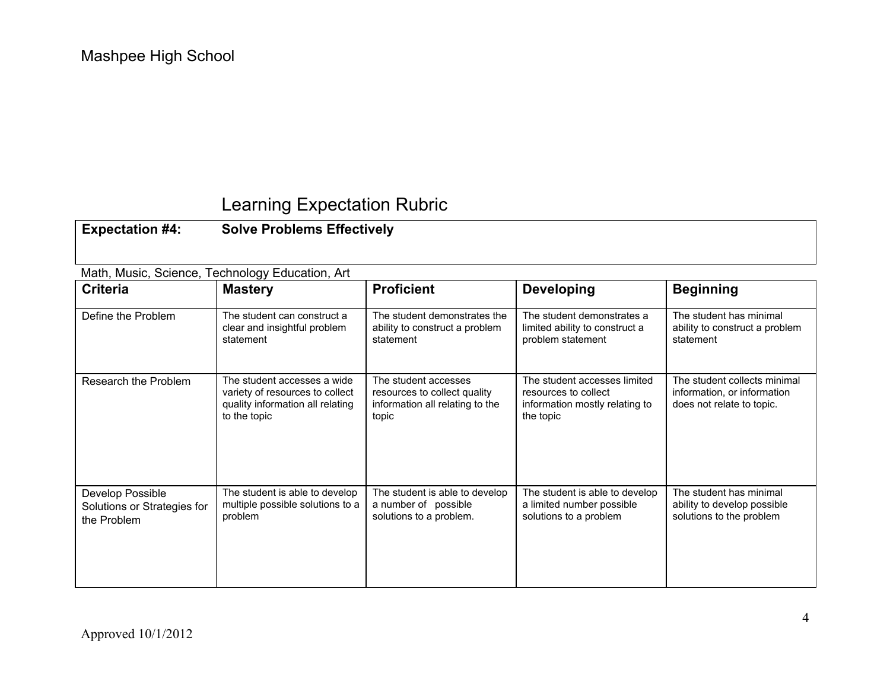## Learning Expectation Rubric

**Expectation #4: Solve Problems Effectively**

| Math, Music, Science, Technology Education, Art                |                                                                                                                    |                                                                                                  |                                                                                                     |                                                                                          |  |  |
|----------------------------------------------------------------|--------------------------------------------------------------------------------------------------------------------|--------------------------------------------------------------------------------------------------|-----------------------------------------------------------------------------------------------------|------------------------------------------------------------------------------------------|--|--|
| <b>Criteria</b>                                                | <b>Mastery</b>                                                                                                     | <b>Proficient</b>                                                                                | <b>Developing</b>                                                                                   | <b>Beginning</b>                                                                         |  |  |
| Define the Problem                                             | The student can construct a<br>clear and insightful problem<br>statement                                           | The student demonstrates the<br>ability to construct a problem<br>statement                      | The student demonstrates a<br>limited ability to construct a<br>problem statement                   | The student has minimal<br>ability to construct a problem<br>statement                   |  |  |
| Research the Problem                                           | The student accesses a wide<br>variety of resources to collect<br>quality information all relating<br>to the topic | The student accesses<br>resources to collect quality<br>information all relating to the<br>topic | The student accesses limited<br>resources to collect<br>information mostly relating to<br>the topic | The student collects minimal<br>information, or information<br>does not relate to topic. |  |  |
| Develop Possible<br>Solutions or Strategies for<br>the Problem | The student is able to develop<br>multiple possible solutions to a<br>problem                                      | The student is able to develop<br>a number of possible<br>solutions to a problem.                | The student is able to develop<br>a limited number possible<br>solutions to a problem               | The student has minimal<br>ability to develop possible<br>solutions to the problem       |  |  |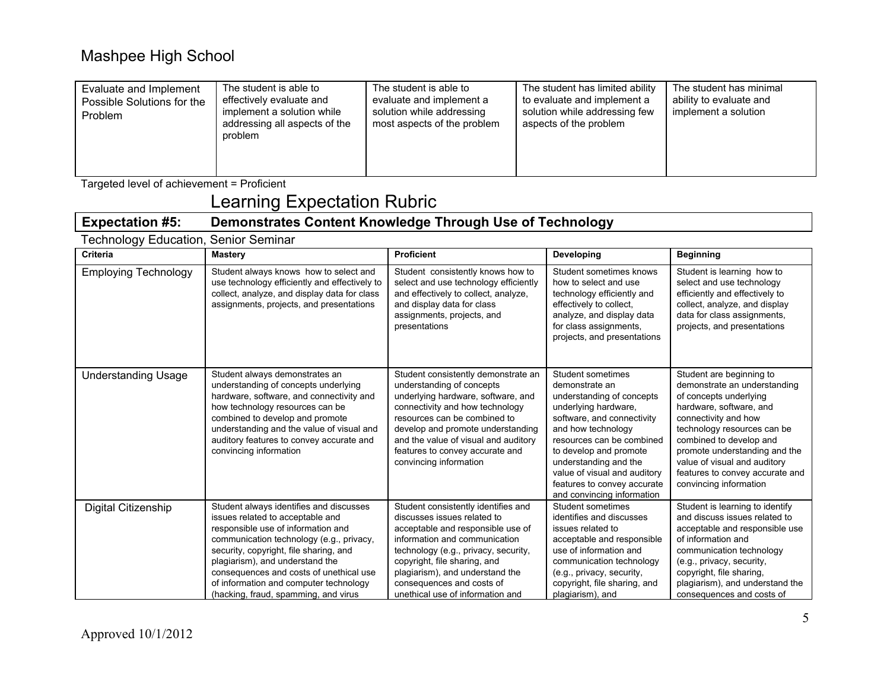| Evaluate and Implement<br>Possible Solutions for the<br><b>Problem</b> | The student is able to<br>effectively evaluate and<br>implement a solution while<br>addressing all aspects of the<br>problem | The student is able to<br>evaluate and implement a<br>solution while addressing<br>most aspects of the problem | The student has limited ability<br>to evaluate and implement a<br>solution while addressing few<br>aspects of the problem | The student has minimal<br>ability to evaluate and<br>implement a solution |
|------------------------------------------------------------------------|------------------------------------------------------------------------------------------------------------------------------|----------------------------------------------------------------------------------------------------------------|---------------------------------------------------------------------------------------------------------------------------|----------------------------------------------------------------------------|
|------------------------------------------------------------------------|------------------------------------------------------------------------------------------------------------------------------|----------------------------------------------------------------------------------------------------------------|---------------------------------------------------------------------------------------------------------------------------|----------------------------------------------------------------------------|

Targeted level of achievement = Proficient

# Learning Expectation Rubric

#### **Expectation #5: Demonstrates Content Knowledge Through Use of Technology**

| <b>Technology Education, Senior Seminar</b> |                                                                                                                                                                                                                                                                                                                                                                         |                                                                                                                                                                                                                                                                                                                      |                                                                                                                                                                                                                                                                                                                           |                                                                                                                                                                                                                                                                                                                               |
|---------------------------------------------|-------------------------------------------------------------------------------------------------------------------------------------------------------------------------------------------------------------------------------------------------------------------------------------------------------------------------------------------------------------------------|----------------------------------------------------------------------------------------------------------------------------------------------------------------------------------------------------------------------------------------------------------------------------------------------------------------------|---------------------------------------------------------------------------------------------------------------------------------------------------------------------------------------------------------------------------------------------------------------------------------------------------------------------------|-------------------------------------------------------------------------------------------------------------------------------------------------------------------------------------------------------------------------------------------------------------------------------------------------------------------------------|
| <b>Criteria</b>                             | <b>Mastery</b>                                                                                                                                                                                                                                                                                                                                                          | <b>Proficient</b>                                                                                                                                                                                                                                                                                                    | Developing                                                                                                                                                                                                                                                                                                                | <b>Beginning</b>                                                                                                                                                                                                                                                                                                              |
| <b>Employing Technology</b>                 | Student always knows how to select and<br>use technology efficiently and effectively to<br>collect, analyze, and display data for class<br>assignments, projects, and presentations                                                                                                                                                                                     | Student consistently knows how to<br>select and use technology efficiently<br>and effectively to collect, analyze,<br>and display data for class<br>assignments, projects, and<br>presentations                                                                                                                      | Student sometimes knows<br>how to select and use<br>technology efficiently and<br>effectively to collect.<br>analyze, and display data<br>for class assignments.<br>projects, and presentations                                                                                                                           | Student is learning how to<br>select and use technology<br>efficiently and effectively to<br>collect, analyze, and display<br>data for class assignments,<br>projects, and presentations                                                                                                                                      |
| <b>Understanding Usage</b>                  | Student always demonstrates an<br>understanding of concepts underlying<br>hardware, software, and connectivity and<br>how technology resources can be<br>combined to develop and promote<br>understanding and the value of visual and<br>auditory features to convey accurate and<br>convincing information                                                             | Student consistently demonstrate an<br>understanding of concepts<br>underlying hardware, software, and<br>connectivity and how technology<br>resources can be combined to<br>develop and promote understanding<br>and the value of visual and auditory<br>features to convey accurate and<br>convincing information  | Student sometimes<br>demonstrate an<br>understanding of concepts<br>underlying hardware,<br>software, and connectivity<br>and how technology<br>resources can be combined<br>to develop and promote<br>understanding and the<br>value of visual and auditory<br>features to convey accurate<br>and convincing information | Student are beginning to<br>demonstrate an understanding<br>of concepts underlying<br>hardware, software, and<br>connectivity and how<br>technology resources can be<br>combined to develop and<br>promote understanding and the<br>value of visual and auditory<br>features to convey accurate and<br>convincing information |
| Digital Citizenship                         | Student always identifies and discusses<br>issues related to acceptable and<br>responsible use of information and<br>communication technology (e.g., privacy,<br>security, copyright, file sharing, and<br>plagiarism), and understand the<br>consequences and costs of unethical use<br>of information and computer technology<br>(hacking, fraud, spamming, and virus | Student consistently identifies and<br>discusses issues related to<br>acceptable and responsible use of<br>information and communication<br>technology (e.g., privacy, security,<br>copyright, file sharing, and<br>plagiarism), and understand the<br>consequences and costs of<br>unethical use of information and | Student sometimes<br>identifies and discusses<br>issues related to<br>acceptable and responsible<br>use of information and<br>communication technology<br>(e.g., privacy, security,<br>copyright, file sharing, and<br>plagiarism), and                                                                                   | Student is learning to identify<br>and discuss issues related to<br>acceptable and responsible use<br>of information and<br>communication technology<br>(e.g., privacy, security,<br>copyright, file sharing,<br>plagiarism), and understand the<br>consequences and costs of                                                 |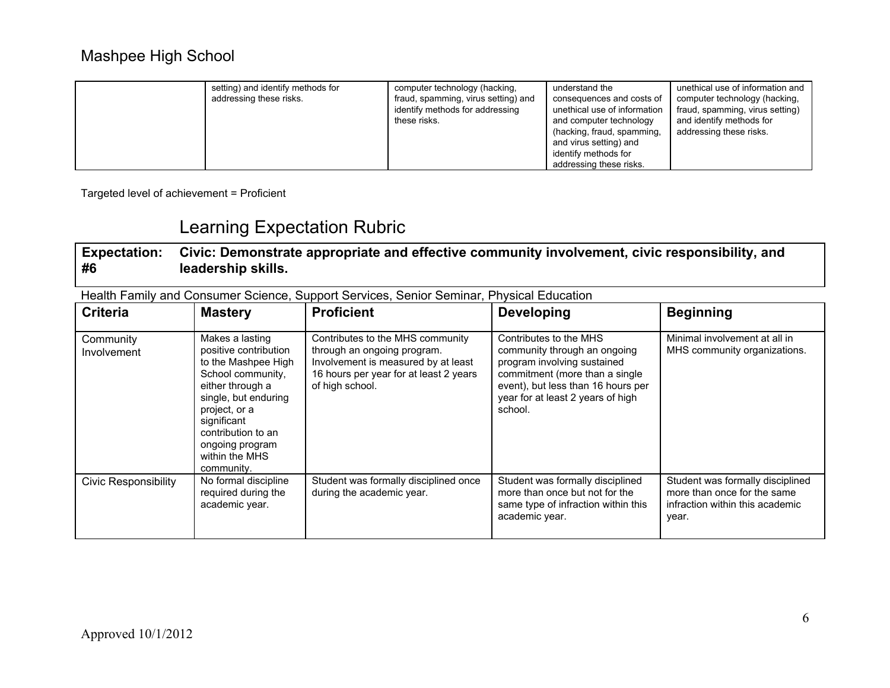| setting) and identify methods for<br>addressing these risks. | computer technology (hacking,<br>fraud, spamming, virus setting) and<br>identify methods for addressing<br>these risks. | understand the<br>consequences and costs of<br>unethical use of information<br>and computer technology<br>(hacking, fraud, spamming,<br>and virus setting) and | unethical use of information and<br>computer technology (hacking,<br>fraud, spamming, virus setting)<br>and identify methods for<br>addressing these risks. |
|--------------------------------------------------------------|-------------------------------------------------------------------------------------------------------------------------|----------------------------------------------------------------------------------------------------------------------------------------------------------------|-------------------------------------------------------------------------------------------------------------------------------------------------------------|
|                                                              |                                                                                                                         | identify methods for                                                                                                                                           |                                                                                                                                                             |
|                                                              |                                                                                                                         | addressing these risks.                                                                                                                                        |                                                                                                                                                             |

Targeted level of achievement = Proficient

### Learning Expectation Rubric

**Expectation: #6 Civic: Demonstrate appropriate and effective community involvement, civic responsibility, and leadership skills.**

Health Family and Consumer Science, Support Services, Senior Seminar, Physical Education

| <b>Criteria</b>             | <b>Mastery</b>                                                                                                                                                                                                                            | <b>Proficient</b>                                                                                                                                                   | <b>Developing</b>                                                                                                                                                                                             | <b>Beginning</b>                                                                                            |
|-----------------------------|-------------------------------------------------------------------------------------------------------------------------------------------------------------------------------------------------------------------------------------------|---------------------------------------------------------------------------------------------------------------------------------------------------------------------|---------------------------------------------------------------------------------------------------------------------------------------------------------------------------------------------------------------|-------------------------------------------------------------------------------------------------------------|
| Community<br>Involvement    | Makes a lasting<br>positive contribution<br>to the Mashpee High<br>School community,<br>either through a<br>single, but enduring<br>project, or a<br>significant<br>contribution to an<br>ongoing program<br>within the MHS<br>community. | Contributes to the MHS community<br>through an ongoing program.<br>Involvement is measured by at least<br>16 hours per year for at least 2 years<br>of high school. | Contributes to the MHS<br>community through an ongoing<br>program involving sustained<br>commitment (more than a single<br>event), but less than 16 hours per<br>year for at least 2 years of high<br>school. | Minimal involvement at all in<br>MHS community organizations.                                               |
| <b>Civic Responsibility</b> | No formal discipline<br>required during the<br>academic year.                                                                                                                                                                             | Student was formally disciplined once<br>during the academic year.                                                                                                  | Student was formally disciplined<br>more than once but not for the<br>same type of infraction within this<br>academic year.                                                                                   | Student was formally disciplined<br>more than once for the same<br>infraction within this academic<br>year. |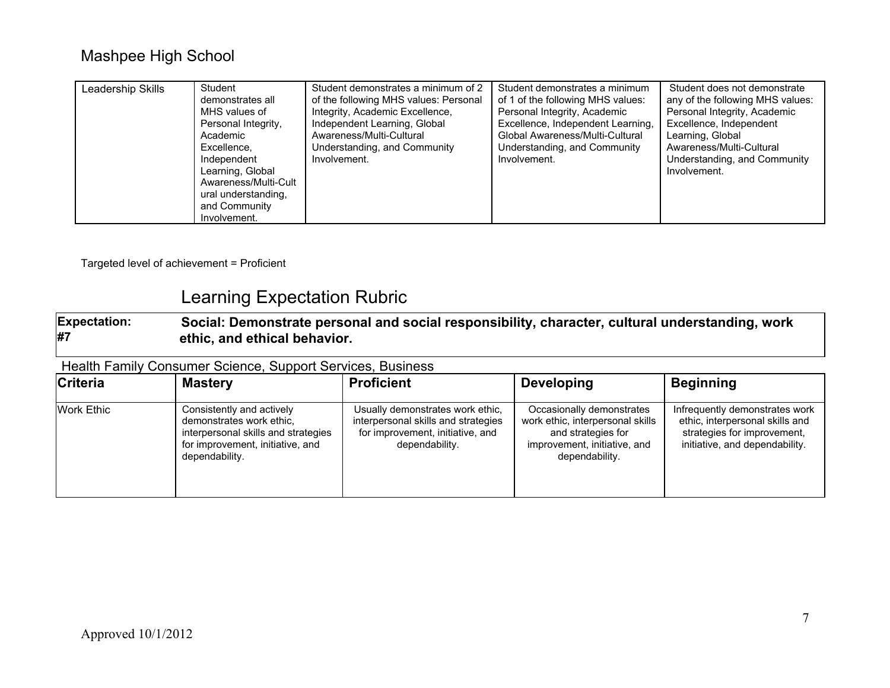Targeted level of achievement = Proficient

## Learning Expectation Rubric

**Expectation: #7 Social: Demonstrate personal and social responsibility, character, cultural understanding, work ethic, and ethical behavior.**

#### Health Family Consumer Science, Support Services, Business

| <b>Criteria</b>   | <b>Mastery</b>                                                                                                                                     | <b>Proficient</b>                                                                                                             | <b>Developing</b>                                                                                                                     | <b>Beginning</b>                                                                                                                   |
|-------------------|----------------------------------------------------------------------------------------------------------------------------------------------------|-------------------------------------------------------------------------------------------------------------------------------|---------------------------------------------------------------------------------------------------------------------------------------|------------------------------------------------------------------------------------------------------------------------------------|
| <b>Work Ethic</b> | Consistently and actively<br>demonstrates work ethic.<br>interpersonal skills and strategies<br>for improvement, initiative, and<br>dependability. | Usually demonstrates work ethic,<br>interpersonal skills and strategies<br>for improvement, initiative, and<br>dependability. | Occasionally demonstrates<br>work ethic, interpersonal skills<br>and strategies for<br>improvement, initiative, and<br>dependability. | Infrequently demonstrates work<br>ethic, interpersonal skills and<br>strategies for improvement,<br>initiative, and dependability. |